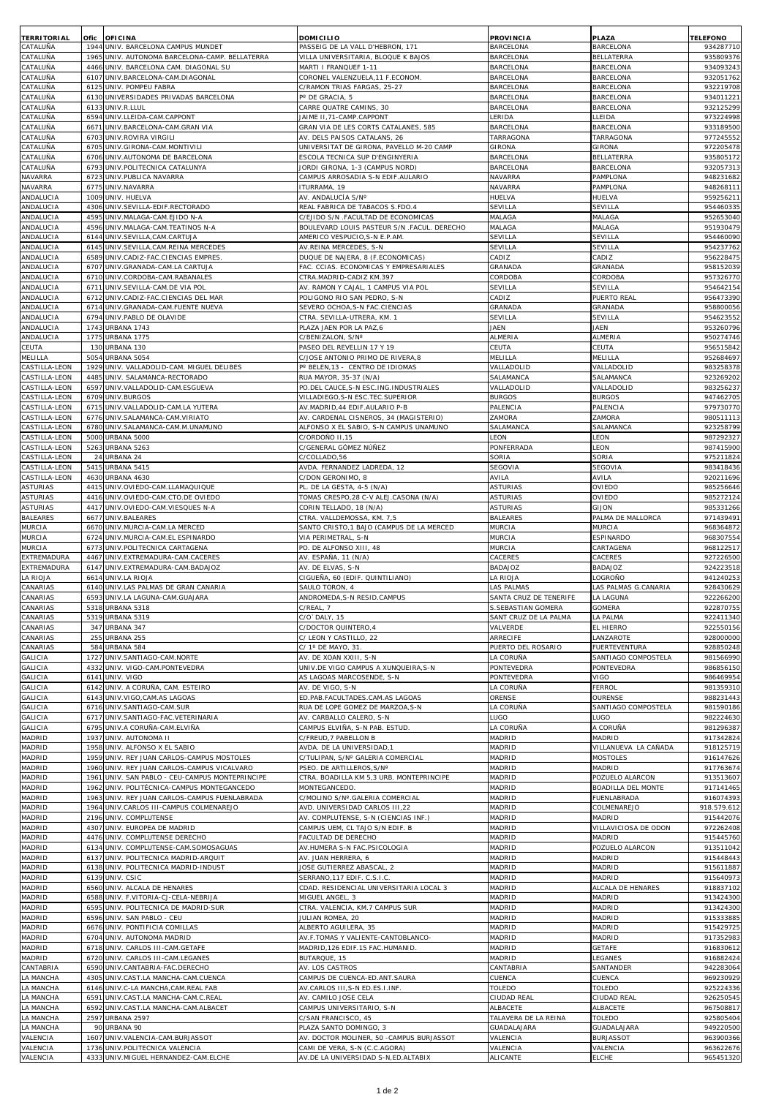| <b>TERRITORIAL</b><br>CATALUÑA   | Ofic<br>1944 | <b>OFICINA</b><br>UNIV. BARCELONA CAMPUS MUNDET                                 | DOMICILIO<br>PASSEIG DE LA VALL D'HEBRON, 171                           | <b>PROVINCIA</b><br><b>BARCELONA</b>          | <b>PLAZA</b><br>BARCELONA          | <b>TELEFONO</b><br>934287710 |
|----------------------------------|--------------|---------------------------------------------------------------------------------|-------------------------------------------------------------------------|-----------------------------------------------|------------------------------------|------------------------------|
| CATALUÑA                         | 1965         | UNIV. AUTONOMA BARCELONA-CAMP. BELLATERRA                                       | VILLA UNIVERSITARIA, BLOQUE K BAJOS                                     | BARCELONA                                     | BELLATERRA                         | 935809376                    |
| CATALUÑA                         | 4466         | UNIV. BARCELONA CAM. DIAGONAL SU                                                | MARTI I FRANQUEF 1-11                                                   | BARCELONA                                     | BARCELONA                          | 934093243                    |
| CATALUÑA<br>CATALUÑA             | 6107<br>6125 | UNIV.BARCELONA-CAM.DIAGONAL<br>UNIV. POMPEU FABRA                               | CORONEL VALENZUELA, 11 F.ECONOM.<br>C/RAMON TRIAS FARGAS, 25-27         | BARCELONA<br>BARCELONA                        | BARCELONA<br>BARCELONA             | 93205176<br>932219708        |
| CATALUÑA                         | 6130         | UNIVERSIDADES PRIVADAS BARCELONA                                                | P° DE GRACIA, 5                                                         | BARCELONA                                     | <b>BARCELONA</b>                   | 93401122                     |
| CATALUÑA                         | 6133         | UNIV.R.LLUL                                                                     | CARRE QUATRE CAMINS, 30                                                 | <b>BARCELONA</b>                              | <b>BARCELONA</b>                   | 932125299                    |
| CATALUÑA<br>CATALUÑA             | 6594<br>6671 | UNIV.LLEIDA-CAM.CAPPONT<br>UNIV.BARCELONA-CAM.GRAN VIA                          | JAIME II, 71-CAMP.CAPPONT<br>GRAN VIA DE LES CORTS CATALANES, 585       | <b>ERIDA</b><br><b>BARCELONA</b>              | LLEIDA<br>BARCELONA                | 973224998<br>93318950        |
| CATALUÑA                         | 6703         | UNIV.ROVIRA VIRGILI                                                             | AV. DELS PAISOS CATALANS, 26                                            | TARRAGONA                                     | TARRAGONA                          | 977245552                    |
| CATALUÑA                         | 670          | UNIV.GIRONA-CAM.MONTIVILI                                                       | UNIVERSITAT DE GIRONA, PAVELLO M-20 CAMP                                | GIRONA                                        | GIRONA                             | 972205478                    |
| CATALUÑA                         | 6706         | UNIV.AUTONOMA DE BARCELONA                                                      | ESCOLA TECNICA SUP D'ENGINYERIA                                         | <b>BARCELONA</b>                              | BELLATERRA                         | 93580517                     |
| CATALUÑA<br>NAVARRA              | 679<br>672   | UNIV.POLITECNICA CATALUNYA<br>UNIV.PUBLICA NAVARRA                              | JORDI GIRONA, 1-3 (CAMPUS NORD)<br>CAMPUS ARROSADIA S-N EDIF.AULARIO    | <b>BARCELONA</b><br>NAVARRA                   | <b>BARCELONA</b><br>PAMPLONA       | 93205731<br>948231682        |
| NAVARRA                          | 6775         | UNIV.NAVARRA                                                                    | ITURRAMA, 19                                                            | NAVARRA                                       | PAMPLONA                           | 94826811                     |
| ANDALUCIA                        | 1009         | UNIV. HUELVA                                                                    | AV. ANDALUCÍA S/Nº                                                      | HUELVA                                        | HUELVA                             | 95925621                     |
| ANDALUCIA<br>ANDALUCIA           | 4306<br>4595 | UNIV.SEVILLA-EDIF.RECTORADO<br>UNIV.MALAGA-CAM.EJIDO N-A                        | REAL FABRICA DE TABACOS S.FDO.4<br>C/EJIDO S/N .FACULTAD DE ECONOMICAS  | SEVILLA<br>MALAGA                             | SEVILLA<br>MALAGA                  | 954460335<br>952653040       |
| ANDALUCIA                        | 4596         | UNIV.MALAGA-CAM.TEATINOS N-A                                                    | BOULEVARD LOUIS PASTEUR S/N .FACUL. DERECHO                             | MALAGA                                        | MALAGA                             | 951930479                    |
| ANDALUCIA                        | 6144         | UNIV.SEVILLA,CAM.CARTUJA                                                        | AMERICO VESPUCIO, S-N E.P.AM                                            | SEVILLA                                       | SEVILLA                            | 95446009                     |
| ANDALUCIA<br>ANDALUCIA           | 6145<br>6589 | UNIV.SEVILLA, CAM.REINA MERCEDES<br>UNIV.CADIZ-FAC.CIENCIAS EMPRES              | AV.REINA MERCEDES, S-N<br>DUQUE DE NAJERA, 8 (F.ECONOMICAS)             | SEVILLA<br>CADIZ                              | SEVILLA<br>CADIZ                   | 954237762<br>95622847        |
| ANDALUCIA                        | 6707         | UNIV.GRANADA-CAM.LA CARTUJA                                                     | FAC. CCIAS. ECONOMICAS Y EMPRESARIALES                                  | GRANADA                                       | GRANADA                            | 95815203                     |
| ANDALUCIA                        | 671C         | UNIV.CORDOBA-CAM.RABANALES                                                      | CTRA.MADRID-CADIZ KM.397                                                | CORDOBA                                       | CORDOBA                            | 957326770                    |
| ANDALUCIA<br>ANDALUCIA           | 6711<br>6712 | UNIV.SEVILLA-CAM.DE VIA POL                                                     | AV. RAMON Y CAJAL, 1 CAMPUS VIA POL                                     | SEVILLA<br>CADIZ                              | SEVILLA                            | 954642154<br>956473390       |
| ANDALUCIA                        | 6714         | UNIV.CADIZ-FAC.CIENCIAS DEL MAR<br>UNIV.GRANADA-CAM.FUENTE NUEVA                | POLIGONO RIO SAN PEDRO, S-N<br>SEVERO OCHOA, S-N FAC. CIENCIAS          | GRANADA                                       | PUERTO REAL<br><b>GRANADA</b>      | 95880005                     |
| ANDALUCIA                        | 6794         | UNIV.PABLO DE OLAVIDE                                                           | CTRA. SEVILLA-UTRERA, KM. 1                                             | SEVILLA                                       | SEVILLA                            | 95462355                     |
| ANDALUCIA                        | 1743         | URBANA 1743                                                                     | PLAZA JAEN POR LA PAZ,6                                                 | JAEN                                          | JAEN                               | 953260796                    |
| ANDALUCIA<br>CEUTA               | 1775<br>13C  | URBANA 1775<br>URBANA 130                                                       | C/BENIZALON, S/Nº<br>PASEO DEL REVELLIN 17 Y 19                         | ALMERIA<br>CEUTA                              | ALMERIA<br>CEUTA                   | 950274746<br>956515842       |
| MELILLA                          | 5054         | URBANA 5054                                                                     | C/JOSE ANTONIO PRIMO DE RIVERA, 8                                       | MELILLA                                       | MELILLA                            | 952684697                    |
| CASTILLA-LEON                    | 1929         | UNIV. VALLADOLID-CAM. MIGUEL DELIBES                                            | Pº BELEN, 13 - CENTRO DE IDIOMAS                                        | VALLADOLID                                    | VALLADOLID                         | 983258378                    |
| CASTILLA-LEON<br>CASTILLA-LEON   | 4485         | UNIV. SALAMANCA-RECTORADO<br>6597 UNIV.VALLADOLID-CAM.ESGUEVA                   | RUA MAYOR, 35-37 (N/A)<br>PO.DEL CAUCE, S-N ESC. ING. INDUSTRIALES      | SALAMANCA<br>VALLADOLID                       | SALAMANCA<br>VALLADOLID            | 92326920<br>983256237        |
| CASTILLA-LEON                    | 6709         | UNIV.BURGOS                                                                     | VILLADIEGO, S-N ESC. TEC. SUPERIOR                                      | <b>BURGOS</b>                                 | <b>BURGOS</b>                      | 94746270                     |
| CASTILLA-LEON                    | 6715         | UNIV.VALLADOLID-CAM.LA YUTERA                                                   | AV.MADRID, 44 EDIF.AULARIO P-B                                          | PALENCIA                                      | PALENCIA                           | 979730770                    |
| CASTILLA-LEON                    | 6776         | UNIV.SALAMANCA-CAM.VIRIATO                                                      | AV. CARDENAL CISNEROS, 34 (MAGISTERIO)                                  | ZAMORA                                        | ZAMORA                             | 98051111                     |
| CASTILLA-LEON<br>CASTILLA-LEON   | 6780<br>5000 | UNIV.SALAMANCA-CAM.M.UNAMUNO<br>URBANA 5000                                     | ALFONSO X EL SABIO, S-N CAMPUS UNAMUNO<br>C/ordoño II,15                | SALAMANCA<br><b>EON</b>                       | SALAMANCA<br>LEON                  | 923258799<br>98729232        |
| CASTILLA-LEON                    | 5263         | URBANA 5263                                                                     | C/GENERAL GÓMEZ NÚÑEZ                                                   | PONFERRADA                                    | LEON                               | 987415900                    |
| CASTILLA-LEON                    |              | 24 URBANA 24                                                                    | C/COLLADO,56                                                            | SORIA                                         | SORIA                              | 975211824                    |
| CASTILLA-LEON<br>CASTILLA-LEON   | 5415<br>4630 | URBANA 5415<br>URBANA 4630                                                      | AVDA. FERNANDEZ LADREDA, 12<br>C/DON GERONIMO, 8                        | SEGOVIA<br>AVILA                              | SEGOVIA<br>AVILA                   | 983418436<br>920211696       |
| <b>ASTURIAS</b>                  | 4415         | UNIV.OVIEDO-CAM.LLAMAQUIQUE                                                     | PL. DE LA GESTA, 4-5 (N/A)                                              | ASTURIAS                                      | OVIEDO                             | 985256646                    |
| <b>ASTURIAS</b>                  | 4416         | UNIV.OVIEDO-CAM.CTO.DE OVIEDO                                                   | TOMAS CRESPO, 28 C-V ALEJ.CASONA (N/A)                                  | ASTURIAS                                      | OVIEDO                             | 985272124                    |
| <b>ASTURIAS</b>                  | 4417         | UNIV.OVIEDO-CAM.VIESQUES N-A                                                    | CORIN TELLADO, 18 (N/A)                                                 | ASTURIAS                                      | GIJON                              | 985331266                    |
| <b>BALEARES</b><br>MURCIA        | 6677<br>6670 | UNIV.BALEARES<br>UNIV.MURCIA-CAM.LA MERCED                                      | CTRA. VALLDEMOSSA, KM. 7,5<br>SANTO CRISTO, 1 BAJO (CAMPUS DE LA MERCED | <b>BALEARES</b><br>MURCIA                     | PALMA DE MALLORCA<br><b>MURCIA</b> | 97143949<br>968364872        |
| MURCIA                           | 6724         | UNIV.MURCIA-CAM.EL ESPINARDO                                                    | VIA PERIMETRAL, S-N                                                     | MURCIA                                        | ESPINARDO                          | 96830755                     |
| MURCIA                           | 6773         | UNIV.POLITECNICA CARTAGENA                                                      | PO. DE ALFONSO XIII, 48                                                 | MURCIA                                        | CARTAGENA                          | 968122517                    |
| EXTREMADURA<br>EXTREMADURA       | 4467         | UNIV.EXTREMADURA-CAM.CACERES<br>6147 UNIV.EXTREMADURA-CAM.BADAJOZ               | AV. ESPAÑA, 11 (N/A)<br>AV. DE ELVAS, S-N                               | CACERES<br>BADAJOZ                            | CACERES<br>BADAJOZ                 | 92722650<br>924223518        |
| LA RIOJA                         | 6614         | UNIV.LA RIOJA                                                                   | CIGUEÑA, 60 (EDIF. QUINTILIANO)                                         | A RIOJA                                       | _OGROÑO                            | 94124025                     |
| CANARIAS                         | 6140         | UNIV.LAS PALMAS DE GRAN CANARIA                                                 | SAULO TORON, 4                                                          | LAS PALMAS                                    | AS PALMAS G.CANARIA                | 928430629                    |
| CANARIAS<br>CANARIAS             | 6593         | UNIV.LA LAGUNA-CAM.GUAJARA<br>5318 URBANA 5318                                  | ANDROMEDA, S-N RESID.CAMPUS<br>C/REAL 7                                 | SANTA CRUZ DE TENERIFE<br>S. SEBASTIAN GOMERA | LA LAGUNA<br><b>GOMERA</b>         | 922266200<br>922870755       |
| CANARIAS                         |              | 5319 URBANA 5319                                                                | C/O`DALY, 15                                                            | SANT CRUZ DE LA PALMA                         | LA PALMA                           | 922411340                    |
| CANARIAS                         | 347          | URBANA 347                                                                      | C/DOCTOR QUINTERO, 4                                                    | VALVERDE                                      | EL HIERRO                          | 922550156                    |
| CANARIAS<br>CANARIAS             | 255<br>584   | URBANA 255<br>URBANA 584                                                        | C/ LEON Y CASTILLO, 22<br>C/ 1° DE MAYO, 31                             | ARRECIFE<br>PUERTO DEL ROSARIO                | LANZAROTE<br><b>FUERTEVENTURA</b>  | 928000000<br>928850248       |
| <b>GALICIA</b>                   | 1727         | UNIV.SANTIAGO-CAM.NORTE                                                         | AV. DE XOAN XXIII, S-N                                                  | LA CORUÑA                                     | SANTIAGO COMPOSTELA                | 981566990                    |
| <b>GALICIA</b>                   | 4332         | UNIV. VIGO-CAM.PONTEVEDRA                                                       | UNIV.DE VIGO CAMPUS A XUNQUEIRA, S-N                                    | PONTEVEDRA                                    | PONTEVEDRA                         | 986856150                    |
| GALICIA<br><b>GALICIA</b>        | 6142         | 6141 UNIV. VIGO<br>UNIV. A CORUÑA, CAM. ESTEIRO                                 | AS LAGOAS MARCOSENDE, S-N<br>AV. DE VIGO, S-N                           | PONTEVEDRA<br>.a Coruña                       | VIGO<br>FERROL                     | 986469954<br>981359310       |
| <b>GALICIA</b>                   | 6143         | UNIV.VIGO, CAM. AS LAGOAS                                                       | ED.PAB.FACULTADES.CAM.AS LAGOAS                                         | ORENSE                                        | OURENSE                            | 988231443                    |
| <b>GALICIA</b>                   | 6716         | UNIV.SANTIAGO-CAM.SUR                                                           | RUA DE LOPE GOMEZ DE MARZOA, S-N                                        | LA CORUÑA                                     | SANTIAGO COMPOSTELA                | 981590186                    |
| <b>GALICIA</b><br><b>GALICIA</b> | 6717<br>6795 | UNIV.SANTIAGO-FAC.VETERINARIA<br>UNIV.A CORUÑA-CAM.ELVIÑA                       | AV. CARBALLO CALERO, S-N<br>CAMPUS ELVIÑA, S-N PAB. ESTUD               | LUGO<br>LA CORUÑA                             | LUGO<br>A CORUÑA                   | 982224630<br>981296387       |
| MADRID                           | 1937         | UNIV. AUTONOMA II                                                               | C/FREUD, 7 PABELLON B                                                   | MADRID                                        | MADRID                             | 917342824                    |
| MADRID                           | 1958         | UNIV. ALFONSO X EL SABIO                                                        | AVDA. DE LA UNIVERSIDAD, 1                                              | MADRID                                        | VILLANUEVA LA CAÑADA               | 918125719                    |
| MADRID<br>MADRID                 | 1959<br>1960 | UNIV. REY JUAN CARLOS-CAMPUS MOSTOLES<br>UNIV. REY JUAN CARLOS-CAMPUS VICALVARO | C/TULIPAN, S/N° GALERIA COMERCIAL<br>PSEO. DE ARTILLEROS.S/N°           | MADRID<br>MADRID                              | <b>MOSTOLES</b><br>MADRID          | 916147626<br>917763674       |
| MADRID                           | 1961         | UNIV. SAN PABLO - CEU-CAMPUS MONTEPRINCIPE                                      | CTRA. BOADILLA KM 5,3 URB. MONTEPRINCIPE                                | MADRID                                        | POZUELO ALARCON                    | 913513607                    |
| MADRID                           | 196          | UNIV. POLITÉCNICA-CAMPUS MONTEGANCEDO                                           | MONTEGANCEDO                                                            | MADRID                                        | BOADILLA DEL MONTE                 | 917141465                    |
| MADRID<br>MADRID                 | 1963<br>1964 | UNIV. REY JUAN CARLOS-CAMPUS FUENLABRADA<br>UNIV.CARLOS III-CAMPUS COLMENAREJO  | C/MOLINO S/N°.GALERIA COMERCIAL<br>AVD. UNIVERSIDAD CARLOS III,22       | MADRID<br>MADRID                              | FUENLABRADA<br>COLMENAREJO         | 916074393<br>918.579.612     |
| MADRID                           | 2196         | UNIV. COMPLUTENSE                                                               | AV. COMPLUTENSE, S-N (CIENCIAS INF.)                                    | MADRID                                        | MADRID                             | 915442076                    |
| MADRID                           | 4307         | UNIV. EUROPEA DE MADRID                                                         | CAMPUS UEM, CL TAJO S/N EDIF. B                                         | MADRID                                        | VILLAVICIOSA DE ODON               | 972262408                    |
| MADRID                           | 4476<br>6134 | UNIV. COMPLUTENSE DERECHO                                                       | FACULTAD DE DERECHO                                                     | MADRID                                        | MADRID                             | 915445760                    |
| MADRID<br>MADRID                 | 613          | UNIV. COMPLUTENSE-CAM.SOMOSAGUAS<br>UNIV. POLITECNICA MADRID-ARQUIT             | AV.HUMERA S-N FAC.PSICOLOGIA<br>AV. JUAN HERRERA, 6                     | MADRID<br>MADRID                              | POZUELO ALARCON<br>MADRID          | 913511042<br>915448443       |
| MADRID                           | 6138         | UNIV. POLITECNICA MADRID-INDUST                                                 | JOSE GUTIERREZ ABASCAL, 2                                               | MADRID                                        | MADRID                             | 915611887                    |
| MADRID                           | 6139         | UNIV. CSIC                                                                      | SERRANO, 117 EDIF. C.S.I.C.                                             | MADRID                                        | MADRID                             | 915640973                    |
| MADRID<br>MADRID                 | 6560<br>6588 | UNIV. ALCALA DE HENARES<br>UNIV. F.VITORIA-CJ-CELA-NEBRIJA                      | CDAD. RESIDENCIAL UNIVERSITARIA LOCAL 3<br>MIGUEL ANGEL, 3              | MADRID<br>MADRID                              | ALCALA DE HENARES<br>MADRID        | 918837102<br>913424300       |
| MADRID                           | 659          | UNIV. POLITECNICA DE MADRID-SUR                                                 | CTRA. VALENCIA, KM.7 CAMPUS SUR                                         | MADRID                                        | MADRID                             | 913424300                    |
| MADRID                           | 6596         | UNIV. SAN PABLO - CEU                                                           | JULIAN ROMEA, 20                                                        | MADRID                                        | MADRID                             | 915333885                    |
| MADRID<br>MADRID                 | 6676<br>6704 | UNIV. PONTIFICIA COMILLAS<br>UNIV. AUTONOMA MADRID                              | ALBERTO AGUILERA, 35<br>AV.F.TOMAS Y VALIENTE-CANTOBLANCO-              | MADRID<br>MADRID                              | MADRID<br>MADRID                   | 915429725<br>917352983       |
| MADRID                           | 6718         | UNIV. CARLOS III-CAM.GETAFE                                                     | MADRID, 126 EDIF. 15 FAC. HUMANID                                       | MADRID                                        | <b>GETAFE</b>                      | 916830612                    |
| MADRID                           | 6720         | UNIV. CARLOS III-CAM.LEGANES                                                    | BUTARQUE, 15                                                            | MADRID                                        | LEGANES                            | 916882424                    |
| CANTABRIA<br>LA MANCHA           | 6590<br>4305 | UNIV.CANTABRIA-FAC.DERECHO<br>UNIV.CAST.LA MANCHA-CAM.CUENCA                    | AV. LOS CASTROS<br>CAMPUS DE CUENCA-ED.ANT.SAURA                        | CANTABRIA<br>CUENCA                           | SANTANDER<br>CUENCA                | 94228306<br>969230929        |
| LA MANCHA                        | 6146         | UNIV.C-LA MANCHA, CAM.REAL FAB                                                  | AV.CARLOS III, S-N ED.ES.I.INF                                          | TOLEDO                                        | TOLEDO                             | 925224336                    |
| LA MANCHA                        | 6591         | UNIV.CAST.LA MANCHA-CAM.C.REAL                                                  | AV. CAMILO JOSE CELA                                                    | CIUDAD REAL                                   | CIUDAD REAL                        | 926250545                    |
| LA MANCHA<br>LA MANCHA           | 6592         | UNIV.CAST.LA MANCHA-CAM.ALBACET<br>2597 URBANA 2597                             | CAMPUS UNIVERSITARIO, S-N<br>C/SAN FRANCISCO, 45                        | ALBACETE<br>TALAVERA DE LA REINA              | <b>ALBACETE</b><br><b>TOLEDO</b>   | 967508817<br>925805404       |
| LA MANCHA                        | 90           | URBANA 90                                                                       | PLAZA SANTO DOMINGO, 3                                                  | GUADALAJARA                                   | GUADALAJARA                        | 949220500                    |
| VALENCIA                         | 1607         | UNIV.VALENCIA-CAM.BURJASSOT                                                     | AV. DOCTOR MOLINER, 50 -CAMPUS BURJASSOT                                | VALENCIA                                      | <b>BURJASSOT</b>                   | 963900366                    |
| VALENCIA<br>VALENCIA             | 1736<br>4333 | UNIV.POLITECNICA VALENCIA<br>UNIV.MIGUEL HERNANDEZ-CAM.ELCHE                    | CAMI DE VERA, S-N (C.C.AGORA)<br>AV.DE LA UNIVERSIDAD S-N,ED.ALTABIX    | VALENCIA<br>ALICANTE                          | VALENCIA<br><b>ELCHE</b>           | 963622676<br>965451320       |
|                                  |              |                                                                                 |                                                                         |                                               |                                    |                              |